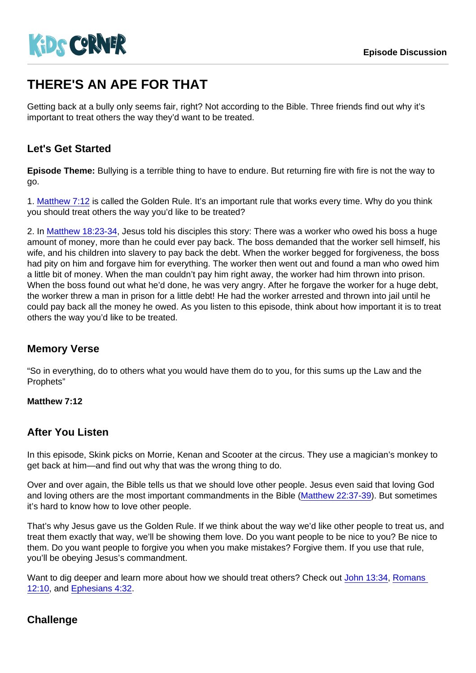# THERE'S AN APE FOR THAT

Getting back at a bully only seems fair, right? Not according to the Bible. Three friends find out why it's important to treat others the way they'd want to be treated.

## Let's Get Started

Episode Theme: Bullying is a terrible thing to have to endure. But returning fire with fire is not the way to go.

1. [Matthew 7:12](https://www.biblegateway.com/passage/?search=Matthew+7:12) is called the Golden Rule. It's an important rule that works every time. Why do you think you should treat others the way you'd like to be treated?

2. In [Matthew 18:23-34,](https://www.biblegateway.com/passage/?search=Matthew+18:23-34) Jesus told his disciples this story: There was a worker who owed his boss a huge amount of money, more than he could ever pay back. The boss demanded that the worker sell himself, his wife, and his children into slavery to pay back the debt. When the worker begged for forgiveness, the boss had pity on him and forgave him for everything. The worker then went out and found a man who owed him a little bit of money. When the man couldn't pay him right away, the worker had him thrown into prison. When the boss found out what he'd done, he was very angry. After he forgave the worker for a huge debt, the worker threw a man in prison for a little debt! He had the worker arrested and thrown into jail until he could pay back all the money he owed. As you listen to this episode, think about how important it is to treat others the way you'd like to be treated.

#### Memory Verse

"So in everything, do to others what you would have them do to you, for this sums up the Law and the Prophets"

Matthew 7:12

#### After You Listen

In this episode, Skink picks on Morrie, Kenan and Scooter at the circus. They use a magician's monkey to get back at him—and find out why that was the wrong thing to do.

Over and over again, the Bible tells us that we should love other people. Jesus even said that loving God and loving others are the most important commandments in the Bible [\(Matthew 22:37-39](https://www.biblegateway.com/passage/?search=Matthew+22:37-39)). But sometimes it's hard to know how to love other people.

That's why Jesus gave us the Golden Rule. If we think about the way we'd like other people to treat us, and treat them exactly that way, we'll be showing them love. Do you want people to be nice to you? Be nice to them. Do you want people to forgive you when you make mistakes? Forgive them. If you use that rule, you'll be obeying Jesus's commandment.

Want to dig deeper and learn more about how we should treat others? Check out [John 13:34](https://www.biblegateway.com/passage/?search=John+13:34), [Romans](https://www.biblegateway.com/passage/?search=Romans+12:10)  [12:10,](https://www.biblegateway.com/passage/?search=Romans+12:10) and [Ephesians 4:32.](https://www.biblegateway.com/passage/?search=Ephesians+4:32)

## **Challenge**